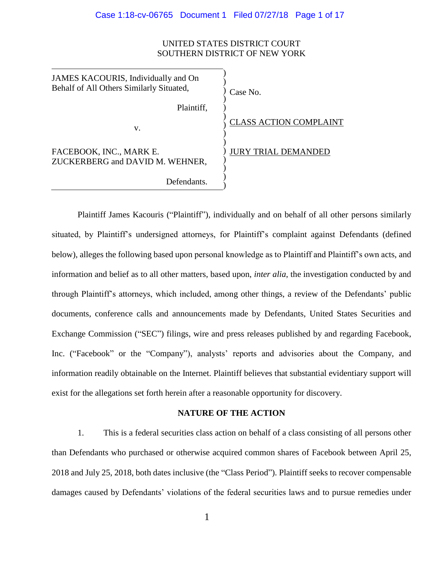#### UNITED STATES DISTRICT COURT SOUTHERN DISTRICT OF NEW YORK

| JAMES KACOURIS, Individually and On<br>Behalf of All Others Similarly Situated, | Case No.                      |
|---------------------------------------------------------------------------------|-------------------------------|
| Plaintiff,                                                                      |                               |
| v.                                                                              | <b>CLASS ACTION COMPLAINT</b> |
| FACEBOOK, INC., MARK E.<br>ZUCKERBERG and DAVID M. WEHNER,                      | <b>JURY TRIAL DEMANDED</b>    |
| Defendants.                                                                     |                               |

Plaintiff James Kacouris ("Plaintiff"), individually and on behalf of all other persons similarly situated, by Plaintiff's undersigned attorneys, for Plaintiff's complaint against Defendants (defined below), alleges the following based upon personal knowledge as to Plaintiff and Plaintiff's own acts, and information and belief as to all other matters, based upon, *inter alia*, the investigation conducted by and through Plaintiff's attorneys, which included, among other things, a review of the Defendants' public documents, conference calls and announcements made by Defendants, United States Securities and Exchange Commission ("SEC") filings, wire and press releases published by and regarding Facebook, Inc. ("Facebook" or the "Company"), analysts' reports and advisories about the Company, and information readily obtainable on the Internet. Plaintiff believes that substantial evidentiary support will exist for the allegations set forth herein after a reasonable opportunity for discovery.

#### **NATURE OF THE ACTION**

1. This is a federal securities class action on behalf of a class consisting of all persons other than Defendants who purchased or otherwise acquired common shares of Facebook between April 25, 2018 and July 25, 2018, both dates inclusive (the "Class Period"). Plaintiff seeks to recover compensable damages caused by Defendants' violations of the federal securities laws and to pursue remedies under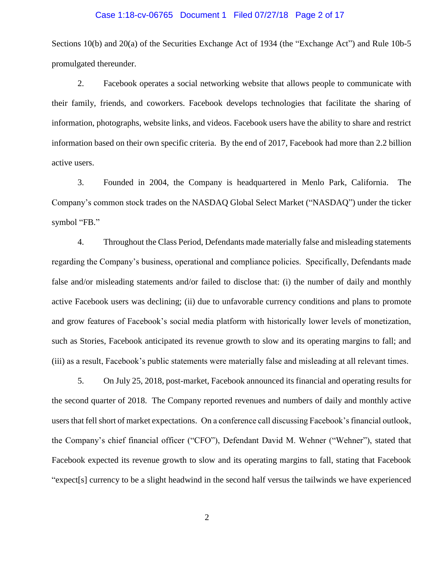#### Case 1:18-cv-06765 Document 1 Filed 07/27/18 Page 2 of 17

Sections 10(b) and 20(a) of the Securities Exchange Act of 1934 (the "Exchange Act") and Rule 10b-5 promulgated thereunder.

2. Facebook operates a social networking website that allows people to communicate with their family, friends, and coworkers. Facebook develops technologies that facilitate the sharing of information, photographs, website links, and videos. Facebook users have the ability to share and restrict information based on their own specific criteria. By the end of 2017, Facebook had more than 2.2 billion active users.

3. Founded in 2004, the Company is headquartered in Menlo Park, California. The Company's common stock trades on the NASDAQ Global Select Market ("NASDAQ") under the ticker symbol "FB."

4. Throughout the Class Period, Defendants made materially false and misleading statements regarding the Company's business, operational and compliance policies. Specifically, Defendants made false and/or misleading statements and/or failed to disclose that: (i) the number of daily and monthly active Facebook users was declining; (ii) due to unfavorable currency conditions and plans to promote and grow features of Facebook's social media platform with historically lower levels of monetization, such as Stories, Facebook anticipated its revenue growth to slow and its operating margins to fall; and (iii) as a result, Facebook's public statements were materially false and misleading at all relevant times.

5. On July 25, 2018, post-market, Facebook announced its financial and operating results for the second quarter of 2018. The Company reported revenues and numbers of daily and monthly active users that fell short of market expectations. On a conference call discussing Facebook's financial outlook, the Company's chief financial officer ("CFO"), Defendant David M. Wehner ("Wehner"), stated that Facebook expected its revenue growth to slow and its operating margins to fall, stating that Facebook "expect[s] currency to be a slight headwind in the second half versus the tailwinds we have experienced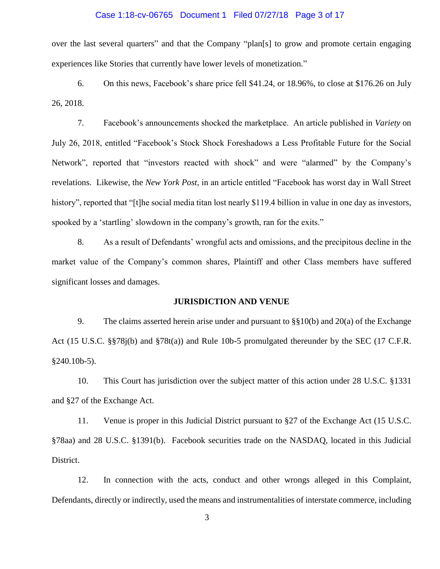#### Case 1:18-cv-06765 Document 1 Filed 07/27/18 Page 3 of 17

over the last several quarters" and that the Company "plan[s] to grow and promote certain engaging experiences like Stories that currently have lower levels of monetization."

6. On this news, Facebook's share price fell \$41.24, or 18.96%, to close at \$176.26 on July 26, 2018.

7. Facebook's announcements shocked the marketplace. An article published in *Variety* on July 26, 2018, entitled "Facebook's Stock Shock Foreshadows a Less Profitable Future for the Social Network", reported that "investors reacted with shock" and were "alarmed" by the Company's revelations. Likewise, the *New York Post*, in an article entitled "Facebook has worst day in Wall Street history", reported that "[t]he social media titan lost nearly \$119.4 billion in value in one day as investors, spooked by a 'startling' slowdown in the company's growth, ran for the exits."

8. As a result of Defendants' wrongful acts and omissions, and the precipitous decline in the market value of the Company's common shares, Plaintiff and other Class members have suffered significant losses and damages.

#### **JURISDICTION AND VENUE**

9. The claims asserted herein arise under and pursuant to  $\S$ §10(b) and 20(a) of the Exchange Act (15 U.S.C. §§78j(b) and §78t(a)) and Rule 10b-5 promulgated thereunder by the SEC (17 C.F.R. §240.10b-5).

10. This Court has jurisdiction over the subject matter of this action under 28 U.S.C. §1331 and §27 of the Exchange Act.

11. Venue is proper in this Judicial District pursuant to §27 of the Exchange Act (15 U.S.C. §78aa) and 28 U.S.C. §1391(b). Facebook securities trade on the NASDAQ, located in this Judicial District.

12. In connection with the acts, conduct and other wrongs alleged in this Complaint, Defendants, directly or indirectly, used the means and instrumentalities of interstate commerce, including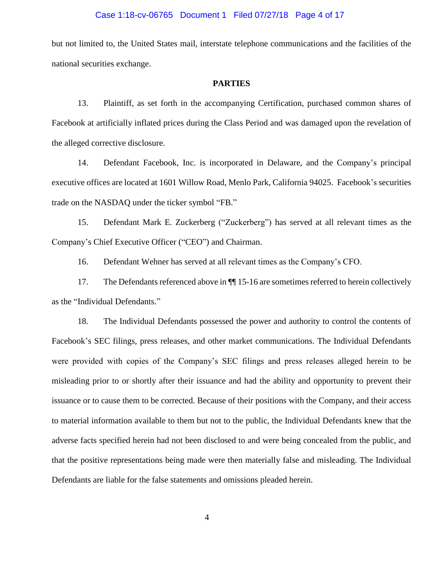#### Case 1:18-cv-06765 Document 1 Filed 07/27/18 Page 4 of 17

but not limited to, the United States mail, interstate telephone communications and the facilities of the national securities exchange.

#### **PARTIES**

13. Plaintiff, as set forth in the accompanying Certification, purchased common shares of Facebook at artificially inflated prices during the Class Period and was damaged upon the revelation of the alleged corrective disclosure.

14. Defendant Facebook, Inc. is incorporated in Delaware, and the Company's principal executive offices are located at 1601 Willow Road, Menlo Park, California 94025. Facebook's securities trade on the NASDAQ under the ticker symbol "FB."

15. Defendant Mark E. Zuckerberg ("Zuckerberg") has served at all relevant times as the Company's Chief Executive Officer ("CEO") and Chairman.

16. Defendant Wehner has served at all relevant times as the Company's CFO.

17. The Defendants referenced above in  $\P$  15-16 are sometimes referred to herein collectively as the "Individual Defendants."

18. The Individual Defendants possessed the power and authority to control the contents of Facebook's SEC filings, press releases, and other market communications. The Individual Defendants were provided with copies of the Company's SEC filings and press releases alleged herein to be misleading prior to or shortly after their issuance and had the ability and opportunity to prevent their issuance or to cause them to be corrected. Because of their positions with the Company, and their access to material information available to them but not to the public, the Individual Defendants knew that the adverse facts specified herein had not been disclosed to and were being concealed from the public, and that the positive representations being made were then materially false and misleading. The Individual Defendants are liable for the false statements and omissions pleaded herein.

4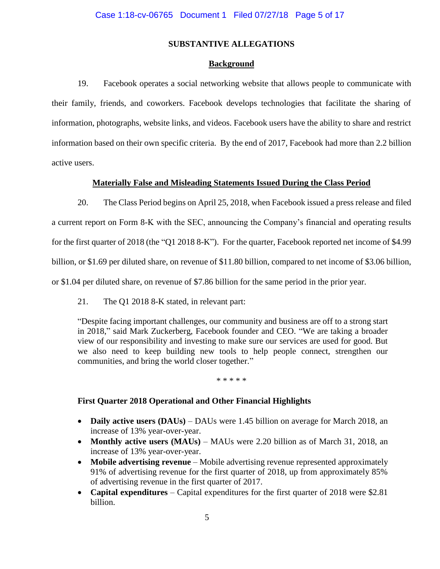#### **SUBSTANTIVE ALLEGATIONS**

#### **Background**

19. Facebook operates a social networking website that allows people to communicate with their family, friends, and coworkers. Facebook develops technologies that facilitate the sharing of information, photographs, website links, and videos. Facebook users have the ability to share and restrict information based on their own specific criteria. By the end of 2017, Facebook had more than 2.2 billion active users.

#### **Materially False and Misleading Statements Issued During the Class Period**

20. The Class Period begins on April 25, 2018, when Facebook issued a press release and filed a current report on Form 8-K with the SEC, announcing the Company's financial and operating results for the first quarter of 2018 (the "Q1 2018 8-K"). For the quarter, Facebook reported net income of \$4.99 billion, or \$1.69 per diluted share, on revenue of \$11.80 billion, compared to net income of \$3.06 billion, or \$1.04 per diluted share, on revenue of \$7.86 billion for the same period in the prior year.

21. The Q1 2018 8-K stated, in relevant part:

"Despite facing important challenges, our community and business are off to a strong start in 2018," said Mark Zuckerberg, Facebook founder and CEO. "We are taking a broader view of our responsibility and investing to make sure our services are used for good. But we also need to keep building new tools to help people connect, strengthen our communities, and bring the world closer together."

\* \* \* \* \*

#### **First Quarter 2018 Operational and Other Financial Highlights**

- **Daily active users (DAUs)** DAUs were 1.45 billion on average for March 2018, an increase of 13% year-over-year.
- **Monthly active users (MAUs)** MAUs were 2.20 billion as of March 31, 2018, an increase of 13% year-over-year.
- **Mobile advertising revenue** Mobile advertising revenue represented approximately 91% of advertising revenue for the first quarter of 2018, up from approximately 85% of advertising revenue in the first quarter of 2017.
- **Capital expenditures**  Capital expenditures for the first quarter of 2018 were \$2.81 billion.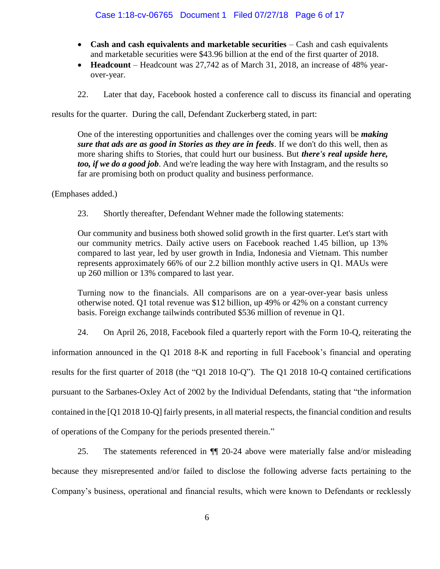- **Cash and cash equivalents and marketable securities** Cash and cash equivalents and marketable securities were \$43.96 billion at the end of the first quarter of 2018.
- **Headcount** Headcount was 27,742 as of March 31, 2018, an increase of 48% yearover-year.
- 22. Later that day, Facebook hosted a conference call to discuss its financial and operating

results for the quarter. During the call, Defendant Zuckerberg stated, in part:

One of the interesting opportunities and challenges over the coming years will be *making sure that ads are as good in Stories as they are in feeds*. If we don't do this well, then as more sharing shifts to Stories, that could hurt our business. But *there's real upside here, too, if we do a good job*. And we're leading the way here with Instagram, and the results so far are promising both on product quality and business performance.

(Emphases added.)

23. Shortly thereafter, Defendant Wehner made the following statements:

Our community and business both showed solid growth in the first quarter. Let's start with our community metrics. Daily active users on Facebook reached 1.45 billion, up 13% compared to last year, led by user growth in India, Indonesia and Vietnam. This number represents approximately 66% of our 2.2 billion monthly active users in Q1. MAUs were up 260 million or 13% compared to last year.

Turning now to the financials. All comparisons are on a year-over-year basis unless otherwise noted. Q1 total revenue was \$12 billion, up 49% or 42% on a constant currency basis. Foreign exchange tailwinds contributed \$536 million of revenue in Q1.

24. On April 26, 2018, Facebook filed a quarterly report with the Form 10-Q, reiterating the information announced in the Q1 2018 8-K and reporting in full Facebook's financial and operating results for the first quarter of 2018 (the "Q1 2018 10-Q"). The Q1 2018 10-Q contained certifications pursuant to the Sarbanes-Oxley Act of 2002 by the Individual Defendants, stating that "the information contained in the [Q1 2018 10-Q] fairly presents, in all material respects, the financial condition and results of operations of the Company for the periods presented therein."

25. The statements referenced in ¶¶ 20-24 above were materially false and/or misleading because they misrepresented and/or failed to disclose the following adverse facts pertaining to the Company's business, operational and financial results, which were known to Defendants or recklessly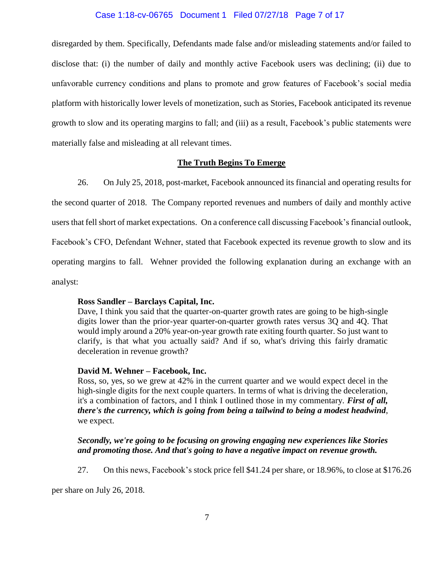#### Case 1:18-cv-06765 Document 1 Filed 07/27/18 Page 7 of 17

disregarded by them. Specifically, Defendants made false and/or misleading statements and/or failed to disclose that: (i) the number of daily and monthly active Facebook users was declining; (ii) due to unfavorable currency conditions and plans to promote and grow features of Facebook's social media platform with historically lower levels of monetization, such as Stories, Facebook anticipated its revenue growth to slow and its operating margins to fall; and (iii) as a result, Facebook's public statements were materially false and misleading at all relevant times.

#### **The Truth Begins To Emerge**

26. On July 25, 2018, post-market, Facebook announced its financial and operating results for

the second quarter of 2018. The Company reported revenues and numbers of daily and monthly active users that fell short of market expectations. On a conference call discussing Facebook's financial outlook, Facebook's CFO, Defendant Wehner, stated that Facebook expected its revenue growth to slow and its operating margins to fall. Wehner provided the following explanation during an exchange with an analyst:

#### **Ross Sandler – Barclays Capital, Inc.**

Dave, I think you said that the quarter-on-quarter growth rates are going to be high-single digits lower than the prior-year quarter-on-quarter growth rates versus 3Q and 4Q. That would imply around a 20% year-on-year growth rate exiting fourth quarter. So just want to clarify, is that what you actually said? And if so, what's driving this fairly dramatic deceleration in revenue growth?

#### **David M. Wehner – Facebook, Inc.**

Ross, so, yes, so we grew at 42% in the current quarter and we would expect decel in the high-single digits for the next couple quarters. In terms of what is driving the deceleration, it's a combination of factors, and I think I outlined those in my commentary. *First of all, there's the currency, which is going from being a tailwind to being a modest headwind*, we expect.

#### *Secondly, we're going to be focusing on growing engaging new experiences like Stories and promoting those. And that's going to have a negative impact on revenue growth.*

27. On this news, Facebook's stock price fell \$41.24 per share, or 18.96%, to close at \$176.26

per share on July 26, 2018.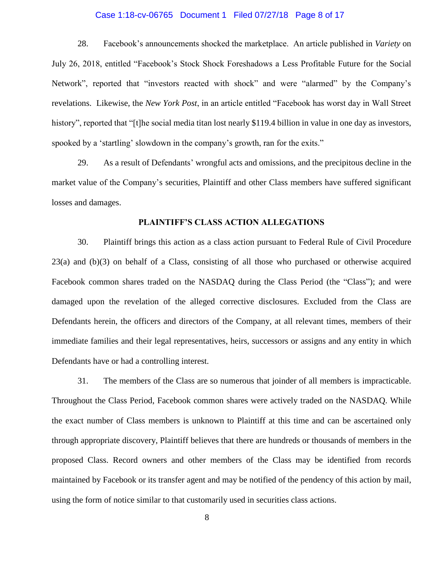#### Case 1:18-cv-06765 Document 1 Filed 07/27/18 Page 8 of 17

28. Facebook's announcements shocked the marketplace. An article published in *Variety* on July 26, 2018, entitled "Facebook's Stock Shock Foreshadows a Less Profitable Future for the Social Network", reported that "investors reacted with shock" and were "alarmed" by the Company's revelations. Likewise, the *New York Post*, in an article entitled "Facebook has worst day in Wall Street history", reported that "[t]he social media titan lost nearly \$119.4 billion in value in one day as investors, spooked by a 'startling' slowdown in the company's growth, ran for the exits."

29. As a result of Defendants' wrongful acts and omissions, and the precipitous decline in the market value of the Company's securities, Plaintiff and other Class members have suffered significant losses and damages.

#### **PLAINTIFF'S CLASS ACTION ALLEGATIONS**

30. Plaintiff brings this action as a class action pursuant to Federal Rule of Civil Procedure 23(a) and (b)(3) on behalf of a Class, consisting of all those who purchased or otherwise acquired Facebook common shares traded on the NASDAQ during the Class Period (the "Class"); and were damaged upon the revelation of the alleged corrective disclosures. Excluded from the Class are Defendants herein, the officers and directors of the Company, at all relevant times, members of their immediate families and their legal representatives, heirs, successors or assigns and any entity in which Defendants have or had a controlling interest.

31. The members of the Class are so numerous that joinder of all members is impracticable. Throughout the Class Period, Facebook common shares were actively traded on the NASDAQ. While the exact number of Class members is unknown to Plaintiff at this time and can be ascertained only through appropriate discovery, Plaintiff believes that there are hundreds or thousands of members in the proposed Class. Record owners and other members of the Class may be identified from records maintained by Facebook or its transfer agent and may be notified of the pendency of this action by mail, using the form of notice similar to that customarily used in securities class actions.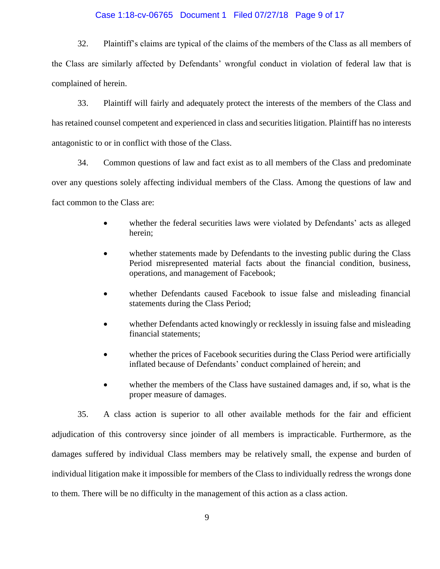#### Case 1:18-cv-06765 Document 1 Filed 07/27/18 Page 9 of 17

32. Plaintiff's claims are typical of the claims of the members of the Class as all members of the Class are similarly affected by Defendants' wrongful conduct in violation of federal law that is complained of herein.

33. Plaintiff will fairly and adequately protect the interests of the members of the Class and has retained counsel competent and experienced in class and securities litigation. Plaintiff has no interests antagonistic to or in conflict with those of the Class.

34. Common questions of law and fact exist as to all members of the Class and predominate over any questions solely affecting individual members of the Class. Among the questions of law and fact common to the Class are:

- whether the federal securities laws were violated by Defendants' acts as alleged herein;
- whether statements made by Defendants to the investing public during the Class Period misrepresented material facts about the financial condition, business, operations, and management of Facebook;
- whether Defendants caused Facebook to issue false and misleading financial statements during the Class Period;
- whether Defendants acted knowingly or recklessly in issuing false and misleading financial statements;
- whether the prices of Facebook securities during the Class Period were artificially inflated because of Defendants' conduct complained of herein; and
- whether the members of the Class have sustained damages and, if so, what is the proper measure of damages.

35. A class action is superior to all other available methods for the fair and efficient adjudication of this controversy since joinder of all members is impracticable. Furthermore, as the damages suffered by individual Class members may be relatively small, the expense and burden of individual litigation make it impossible for members of the Class to individually redress the wrongs done to them. There will be no difficulty in the management of this action as a class action.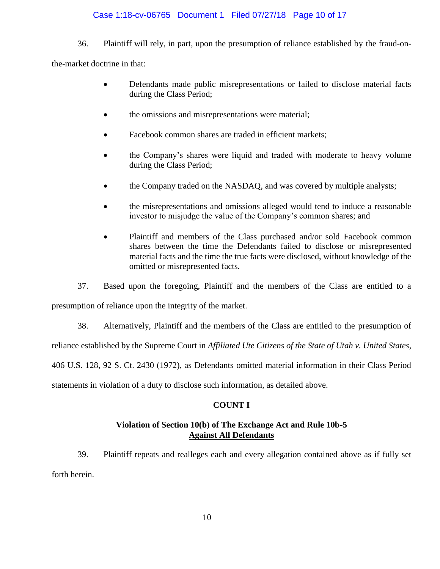#### Case 1:18-cv-06765 Document 1 Filed 07/27/18 Page 10 of 17

36. Plaintiff will rely, in part, upon the presumption of reliance established by the fraud-on-

the-market doctrine in that:

- Defendants made public misrepresentations or failed to disclose material facts during the Class Period;
- the omissions and misrepresentations were material;
- Facebook common shares are traded in efficient markets;
- the Company's shares were liquid and traded with moderate to heavy volume during the Class Period;
- the Company traded on the NASDAQ, and was covered by multiple analysts;
- the misrepresentations and omissions alleged would tend to induce a reasonable investor to misjudge the value of the Company's common shares; and
- Plaintiff and members of the Class purchased and/or sold Facebook common shares between the time the Defendants failed to disclose or misrepresented material facts and the time the true facts were disclosed, without knowledge of the omitted or misrepresented facts.

37. Based upon the foregoing, Plaintiff and the members of the Class are entitled to a

presumption of reliance upon the integrity of the market.

38. Alternatively, Plaintiff and the members of the Class are entitled to the presumption of

reliance established by the Supreme Court in *Affiliated Ute Citizens of the State of Utah v. United States*,

406 U.S. 128, 92 S. Ct. 2430 (1972), as Defendants omitted material information in their Class Period

statements in violation of a duty to disclose such information, as detailed above.

#### **COUNT I**

#### **Violation of Section 10(b) of The Exchange Act and Rule 10b-5 Against All Defendants**

39. Plaintiff repeats and realleges each and every allegation contained above as if fully set forth herein.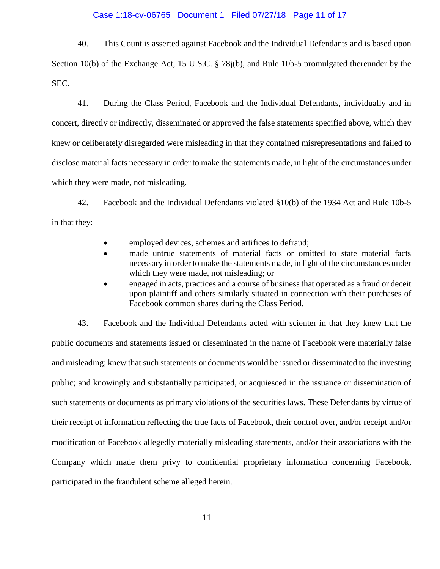#### Case 1:18-cv-06765 Document 1 Filed 07/27/18 Page 11 of 17

40. This Count is asserted against Facebook and the Individual Defendants and is based upon Section 10(b) of the Exchange Act, 15 U.S.C. § 78j(b), and Rule 10b-5 promulgated thereunder by the SEC.

41. During the Class Period, Facebook and the Individual Defendants, individually and in concert, directly or indirectly, disseminated or approved the false statements specified above, which they knew or deliberately disregarded were misleading in that they contained misrepresentations and failed to disclose material facts necessary in order to make the statements made, in light of the circumstances under which they were made, not misleading.

42. Facebook and the Individual Defendants violated §10(b) of the 1934 Act and Rule 10b-5 in that they:

- employed devices, schemes and artifices to defraud;
- made untrue statements of material facts or omitted to state material facts necessary in order to make the statements made, in light of the circumstances under which they were made, not misleading; or
- engaged in acts, practices and a course of business that operated as a fraud or deceit upon plaintiff and others similarly situated in connection with their purchases of Facebook common shares during the Class Period.

43. Facebook and the Individual Defendants acted with scienter in that they knew that the public documents and statements issued or disseminated in the name of Facebook were materially false and misleading; knew that such statements or documents would be issued or disseminated to the investing public; and knowingly and substantially participated, or acquiesced in the issuance or dissemination of such statements or documents as primary violations of the securities laws. These Defendants by virtue of their receipt of information reflecting the true facts of Facebook, their control over, and/or receipt and/or modification of Facebook allegedly materially misleading statements, and/or their associations with the Company which made them privy to confidential proprietary information concerning Facebook, participated in the fraudulent scheme alleged herein.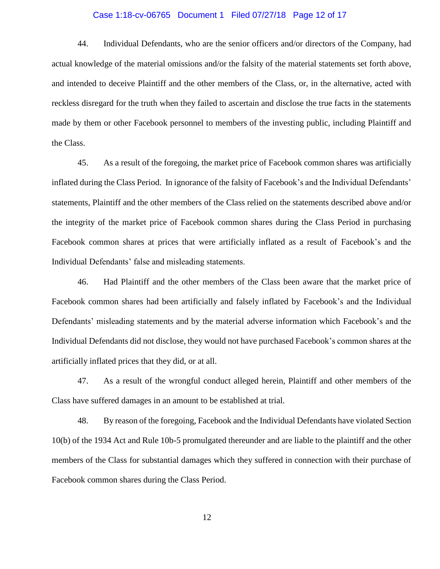#### Case 1:18-cv-06765 Document 1 Filed 07/27/18 Page 12 of 17

44. Individual Defendants, who are the senior officers and/or directors of the Company, had actual knowledge of the material omissions and/or the falsity of the material statements set forth above, and intended to deceive Plaintiff and the other members of the Class, or, in the alternative, acted with reckless disregard for the truth when they failed to ascertain and disclose the true facts in the statements made by them or other Facebook personnel to members of the investing public, including Plaintiff and the Class.

45. As a result of the foregoing, the market price of Facebook common shares was artificially inflated during the Class Period. In ignorance of the falsity of Facebook's and the Individual Defendants' statements, Plaintiff and the other members of the Class relied on the statements described above and/or the integrity of the market price of Facebook common shares during the Class Period in purchasing Facebook common shares at prices that were artificially inflated as a result of Facebook's and the Individual Defendants' false and misleading statements.

46. Had Plaintiff and the other members of the Class been aware that the market price of Facebook common shares had been artificially and falsely inflated by Facebook's and the Individual Defendants' misleading statements and by the material adverse information which Facebook's and the Individual Defendants did not disclose, they would not have purchased Facebook's common shares at the artificially inflated prices that they did, or at all.

47. As a result of the wrongful conduct alleged herein, Plaintiff and other members of the Class have suffered damages in an amount to be established at trial.

48. By reason of the foregoing, Facebook and the Individual Defendants have violated Section 10(b) of the 1934 Act and Rule 10b-5 promulgated thereunder and are liable to the plaintiff and the other members of the Class for substantial damages which they suffered in connection with their purchase of Facebook common shares during the Class Period.

12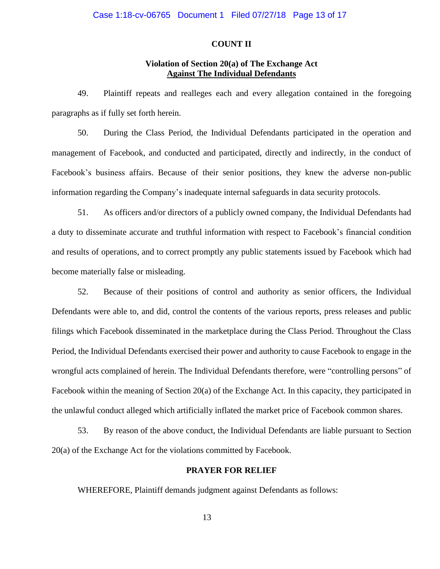#### **COUNT II**

#### **Violation of Section 20(a) of The Exchange Act Against The Individual Defendants**

49. Plaintiff repeats and realleges each and every allegation contained in the foregoing paragraphs as if fully set forth herein.

50. During the Class Period, the Individual Defendants participated in the operation and management of Facebook, and conducted and participated, directly and indirectly, in the conduct of Facebook's business affairs. Because of their senior positions, they knew the adverse non-public information regarding the Company's inadequate internal safeguards in data security protocols.

51. As officers and/or directors of a publicly owned company, the Individual Defendants had a duty to disseminate accurate and truthful information with respect to Facebook's financial condition and results of operations, and to correct promptly any public statements issued by Facebook which had become materially false or misleading.

52. Because of their positions of control and authority as senior officers, the Individual Defendants were able to, and did, control the contents of the various reports, press releases and public filings which Facebook disseminated in the marketplace during the Class Period. Throughout the Class Period, the Individual Defendants exercised their power and authority to cause Facebook to engage in the wrongful acts complained of herein. The Individual Defendants therefore, were "controlling persons" of Facebook within the meaning of Section 20(a) of the Exchange Act. In this capacity, they participated in the unlawful conduct alleged which artificially inflated the market price of Facebook common shares.

53. By reason of the above conduct, the Individual Defendants are liable pursuant to Section 20(a) of the Exchange Act for the violations committed by Facebook.

#### **PRAYER FOR RELIEF**

WHEREFORE, Plaintiff demands judgment against Defendants as follows: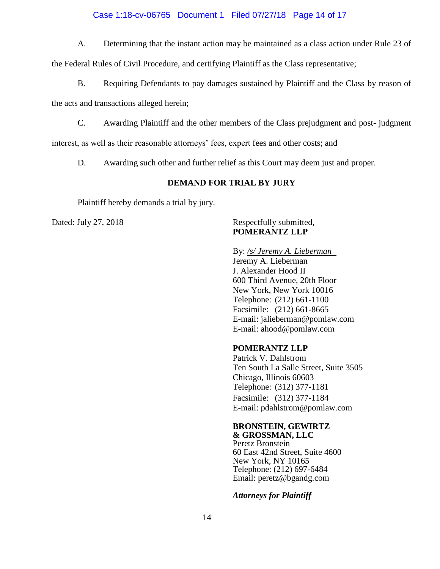#### Case 1:18-cv-06765 Document 1 Filed 07/27/18 Page 14 of 17

A. Determining that the instant action may be maintained as a class action under Rule 23 of

the Federal Rules of Civil Procedure, and certifying Plaintiff as the Class representative;

B. Requiring Defendants to pay damages sustained by Plaintiff and the Class by reason of

the acts and transactions alleged herein;

C. Awarding Plaintiff and the other members of the Class prejudgment and post- judgment

interest, as well as their reasonable attorneys' fees, expert fees and other costs; and

D. Awarding such other and further relief as this Court may deem just and proper.

#### **DEMAND FOR TRIAL BY JURY**

Plaintiff hereby demands a trial by jury.

#### Dated: July 27, 2018 Respectfully submitted, **POMERANTZ LLP**

#### By: */s/ Jeremy A. Lieberman*

Jeremy A. Lieberman J. Alexander Hood II 600 Third Avenue, 20th Floor New York, New York 10016 Telephone: (212) 661-1100 Facsimile: (212) 661-8665 E-mail: jalieberman@pomlaw.com E-mail: ahood@pomlaw.com

#### **POMERANTZ LLP**

Patrick V. Dahlstrom Ten South La Salle Street, Suite 3505 Chicago, Illinois 60603 Telephone: (312) 377-1181 Facsimile: (312) 377-1184 E-mail: pdahlstrom@pomlaw.com

#### **BRONSTEIN, GEWIRTZ**

**& GROSSMAN, LLC** Peretz Bronstein 60 East 42nd Street, Suite 4600 New York, NY 10165 Telephone: (212) 697-6484 Email: peretz@bgandg.com

*Attorneys for Plaintiff*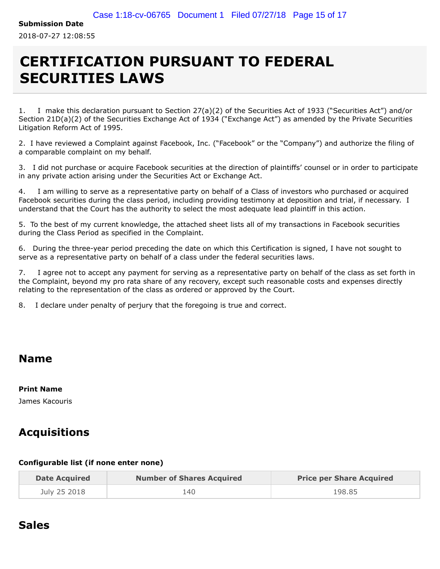**Submission Date**

2018-07-27 12:08:55

# **CERTIFICATION PURSUANT TO FEDERAL SECURITIES LAWS**

1. I make this declaration pursuant to Section 27(a)(2) of the Securities Act of 1933 ("Securities Act") and/or Section 21D(a)(2) of the Securities Exchange Act of 1934 ("Exchange Act") as amended by the Private Securities Litigation Reform Act of 1995.

2. I have reviewed a Complaint against Facebook, Inc. ("Facebook" or the "Company") and authorize the filing of a comparable complaint on my behalf.

3. I did not purchase or acquire Facebook securities at the direction of plaintiffs' counsel or in order to participate in any private action arising under the Securities Act or Exchange Act.

4. I am willing to serve as a representative party on behalf of a Class of investors who purchased or acquired Facebook securities during the class period, including providing testimony at deposition and trial, if necessary. I understand that the Court has the authority to select the most adequate lead plaintiff in this action.

5. To the best of my current knowledge, the attached sheet lists all of my transactions in Facebook securities during the Class Period as specified in the Complaint.

6. During the three-year period preceding the date on which this Certification is signed, I have not sought to serve as a representative party on behalf of a class under the federal securities laws.

7. I agree not to accept any payment for serving as a representative party on behalf of the class as set forth in the Complaint, beyond my pro rata share of any recovery, except such reasonable costs and expenses directly relating to the representation of the class as ordered or approved by the Court.

8. I declare under penalty of perjury that the foregoing is true and correct.

## **Name**

#### **Print Name**

James Kacouris

## **Acquisitions**

#### **Configurable list (if none enter none)**

| <b>Date Acquired</b> | <b>Number of Shares Acquired</b> | <b>Price per Share Acquired</b> |
|----------------------|----------------------------------|---------------------------------|
| July 25 2018         | 140                              | 198.85                          |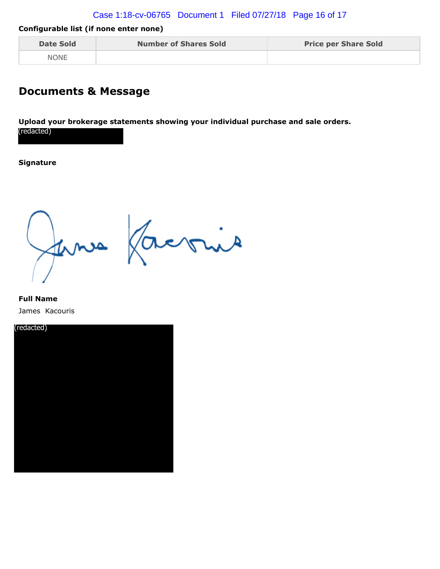#### Case 1:18-cv-06765 Document 1 Filed 07/27/18 Page 16 of 17

#### **Configurable list (if none enter none)**

| <b>Date Sold</b> | <b>Number of Shares Sold</b> | <b>Price per Share Sold</b> |
|------------------|------------------------------|-----------------------------|
| <b>NONE</b>      |                              |                             |

### **Documents & Message**

**Upload your brokerage statements showing your individual purchase and sale orders.** (redacted)

#### **Signature**

fermes factories

#### **Full Name** James Kacouris